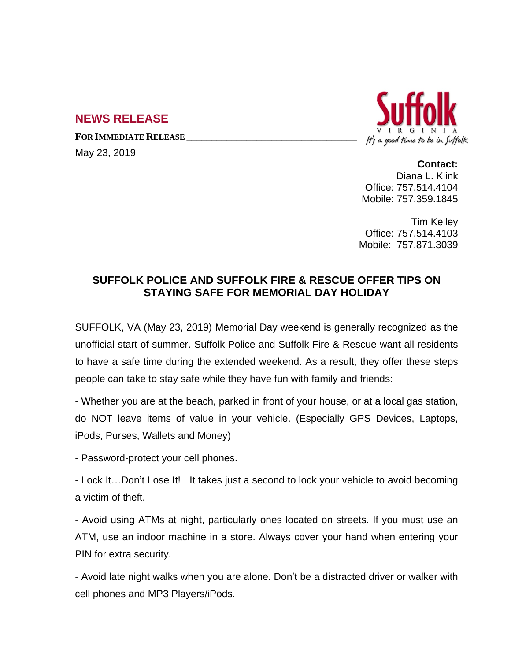# **NEWS RELEASE**

**FOR IMMEDIATE RELEASE \_\_\_\_\_\_\_\_\_\_\_\_\_\_\_\_\_\_\_\_\_\_\_\_\_\_\_\_\_\_\_\_\_\_**

May 23, 2019



**Contact:** Diana L. Klink Office: 757.514.4104 Mobile: 757.359.1845

Tim Kelley Office: 757.514.4103 Mobile: 757.871.3039

## **SUFFOLK POLICE AND SUFFOLK FIRE & RESCUE OFFER TIPS ON STAYING SAFE FOR MEMORIAL DAY HOLIDAY**

SUFFOLK, VA (May 23, 2019) Memorial Day weekend is generally recognized as the unofficial start of summer. Suffolk Police and Suffolk Fire & Rescue want all residents to have a safe time during the extended weekend. As a result, they offer these steps people can take to stay safe while they have fun with family and friends:

- Whether you are at the beach, parked in front of your house, or at a local gas station, do NOT leave items of value in your vehicle. (Especially GPS Devices, Laptops, iPods, Purses, Wallets and Money)

- Password-protect your cell phones.

- Lock It…Don't Lose It! It takes just a second to lock your vehicle to avoid becoming a victim of theft.

- Avoid using ATMs at night, particularly ones located on streets. If you must use an ATM, use an indoor machine in a store. Always cover your hand when entering your PIN for extra security.

- Avoid late night walks when you are alone. Don't be a distracted driver or walker with cell phones and MP3 Players/iPods.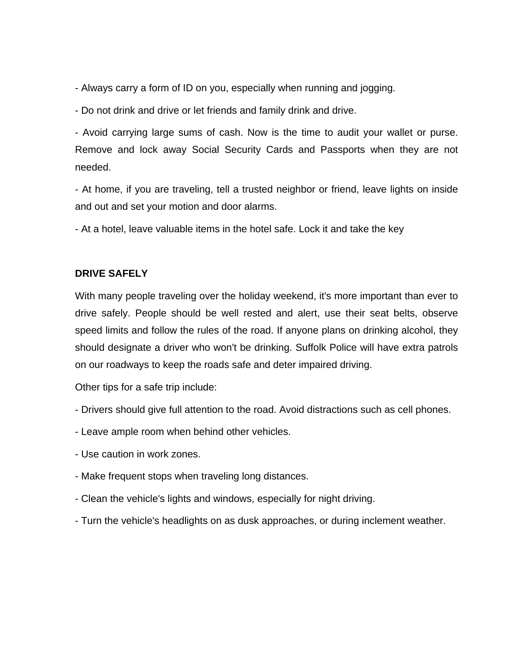- Always carry a form of ID on you, especially when running and jogging.
- Do not drink and drive or let friends and family drink and drive.

- Avoid carrying large sums of cash. Now is the time to audit your wallet or purse. Remove and lock away Social Security Cards and Passports when they are not needed.

- At home, if you are traveling, tell a trusted neighbor or friend, leave lights on inside and out and set your motion and door alarms.

- At a hotel, leave valuable items in the hotel safe. Lock it and take the key

#### **DRIVE SAFELY**

With many people traveling over the holiday weekend, it's more important than ever to drive safely. People should be well rested and alert, use their seat belts, observe speed limits and follow the rules of the road. If anyone plans on drinking alcohol, they should designate a driver who won't be drinking. Suffolk Police will have extra patrols on our roadways to keep the roads safe and deter impaired driving.

Other tips for a safe trip include:

- Drivers should give full attention to the road. Avoid distractions such as cell phones.
- Leave ample room when behind other vehicles.
- Use caution in work zones.
- Make frequent stops when traveling long distances.
- Clean the vehicle's lights and windows, especially for night driving.
- Turn the vehicle's headlights on as dusk approaches, or during inclement weather.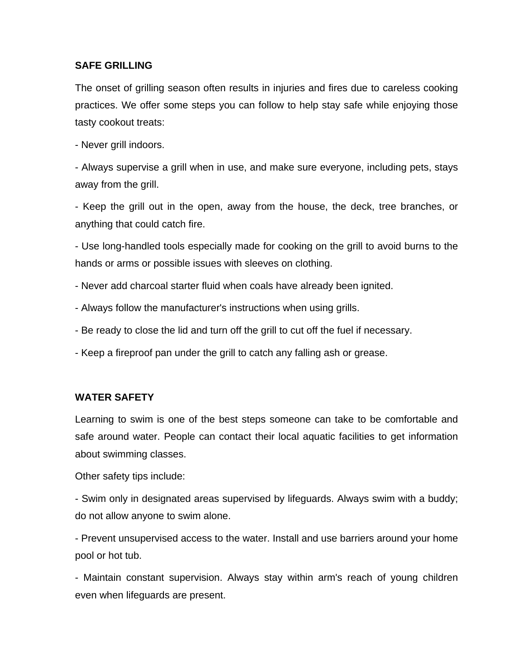### **SAFE GRILLING**

The onset of grilling season often results in injuries and fires due to careless cooking practices. We offer some steps you can follow to help stay safe while enjoying those tasty cookout treats:

- Never grill indoors.

- Always supervise a grill when in use, and make sure everyone, including pets, stays away from the grill.

- Keep the grill out in the open, away from the house, the deck, tree branches, or anything that could catch fire.

- Use long-handled tools especially made for cooking on the grill to avoid burns to the hands or arms or possible issues with sleeves on clothing.

- Never add charcoal starter fluid when coals have already been ignited.
- Always follow the manufacturer's instructions when using grills.
- Be ready to close the lid and turn off the grill to cut off the fuel if necessary.
- Keep a fireproof pan under the grill to catch any falling ash or grease.

### **WATER SAFETY**

Learning to swim is one of the best steps someone can take to be comfortable and safe around water. People can contact their local aquatic facilities to get information about swimming classes.

Other safety tips include:

- Swim only in designated areas supervised by lifeguards. Always swim with a buddy; do not allow anyone to swim alone.

- Prevent unsupervised access to the water. Install and use barriers around your home pool or hot tub.

- Maintain constant supervision. Always stay within arm's reach of young children even when lifeguards are present.